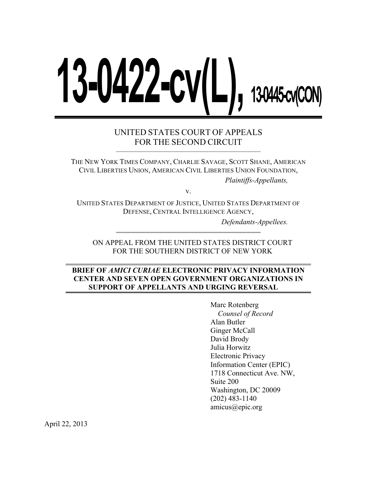# **13-0422-cv(L)**, 1304454

# UNITED STATES COURT OF APPEALS FOR THE SECOND CIRCUIT

THE NEW YORK TIMES COMPANY, CHARLIE SAVAGE, SCOTT SHANE, AMERICAN CIVIL LIBERTIES UNION, AMERICAN CIVIL LIBERTIES UNION FOUNDATION,

*Plaintiffs-Appellants,*

v.

UNITED STATES DEPARTMENT OF JUSTICE, UNITED STATES DEPARTMENT OF DEFENSE, CENTRAL INTELLIGENCE AGENCY,

*Defendants-Appellees.*

ON APPEAL FROM THE UNITED STATES DISTRICT COURT FOR THE SOUTHERN DISTRICT OF NEW YORK

#### **BRIEF OF** *AMICI CURIAE* **ELECTRONIC PRIVACY INFORMATION CENTER AND SEVEN OPEN GOVERNMENT ORGANIZATIONS IN SUPPORT OF APPELLANTS AND URGING REVERSAL**

Marc Rotenberg *Counsel of Record* Alan Butler Ginger McCall David Brody Julia Horwitz Electronic Privacy Information Center (EPIC) 1718 Connecticut Ave. NW, Suite 200 Washington, DC 20009 (202) 483-1140 amicus@epic.org

April 22, 2013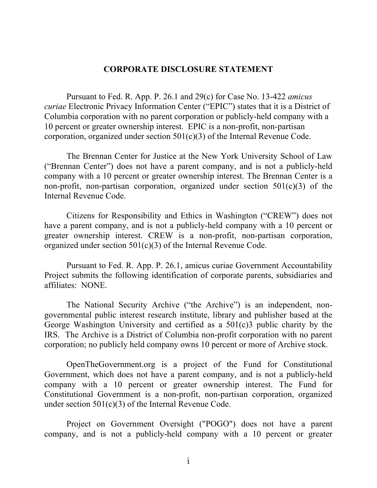#### **CORPORATE DISCLOSURE STATEMENT**

Pursuant to Fed. R. App. P. 26.1 and 29(c) for Case No. 13-422 *amicus curiae* Electronic Privacy Information Center ("EPIC") states that it is a District of Columbia corporation with no parent corporation or publicly-held company with a 10 percent or greater ownership interest. EPIC is a non-profit, non-partisan corporation, organized under section 501(c)(3) of the Internal Revenue Code.

The Brennan Center for Justice at the New York University School of Law ("Brennan Center") does not have a parent company, and is not a publicly-held company with a 10 percent or greater ownership interest. The Brennan Center is a non-profit, non-partisan corporation, organized under section  $501(c)(3)$  of the Internal Revenue Code.

Citizens for Responsibility and Ethics in Washington ("CREW") does not have a parent company, and is not a publicly-held company with a 10 percent or greater ownership interest. CREW is a non-profit, non-partisan corporation, organized under section 501(c)(3) of the Internal Revenue Code.

Pursuant to Fed. R. App. P. 26.1, amicus curiae Government Accountability Project submits the following identification of corporate parents, subsidiaries and affiliates: NONE.

The National Security Archive ("the Archive") is an independent, nongovernmental public interest research institute, library and publisher based at the George Washington University and certified as a 501(c)3 public charity by the IRS. The Archive is a District of Columbia non-profit corporation with no parent corporation; no publicly held company owns 10 percent or more of Archive stock.

OpenTheGovernment.org is a project of the Fund for Constitutional Government, which does not have a parent company, and is not a publicly-held company with a 10 percent or greater ownership interest. The Fund for Constitutional Government is a non-profit, non-partisan corporation, organized under section 501(c)(3) of the Internal Revenue Code.

Project on Government Oversight ("POGO") does not have a parent company, and is not a publicly-held company with a 10 percent or greater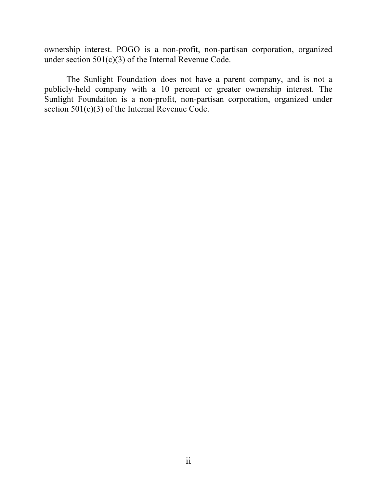ownership interest. POGO is a non-profit, non-partisan corporation, organized under section 501(c)(3) of the Internal Revenue Code.

The Sunlight Foundation does not have a parent company, and is not a publicly-held company with a 10 percent or greater ownership interest. The Sunlight Foundaiton is a non-profit, non-partisan corporation, organized under section 501(c)(3) of the Internal Revenue Code.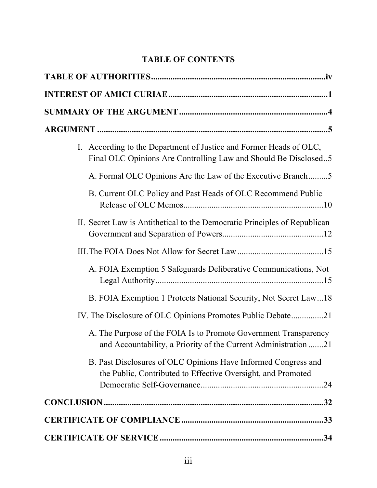# **TABLE OF CONTENTS**

| I. According to the Department of Justice and Former Heads of OLC,<br>Final OLC Opinions Are Controlling Law and Should Be Disclosed5 |
|---------------------------------------------------------------------------------------------------------------------------------------|
| A. Formal OLC Opinions Are the Law of the Executive Branch5                                                                           |
| B. Current OLC Policy and Past Heads of OLC Recommend Public                                                                          |
| II. Secret Law is Antithetical to the Democratic Principles of Republican                                                             |
|                                                                                                                                       |
| A. FOIA Exemption 5 Safeguards Deliberative Communications, Not                                                                       |
| B. FOIA Exemption 1 Protects National Security, Not Secret Law18                                                                      |
| IV. The Disclosure of OLC Opinions Promotes Public Debate21                                                                           |
| A. The Purpose of the FOIA Is to Promote Government Transparency<br>and Accountability, a Priority of the Current Administration 21   |
| B. Past Disclosures of OLC Opinions Have Informed Congress and<br>the Public, Contributed to Effective Oversight, and Promoted        |
|                                                                                                                                       |
|                                                                                                                                       |
|                                                                                                                                       |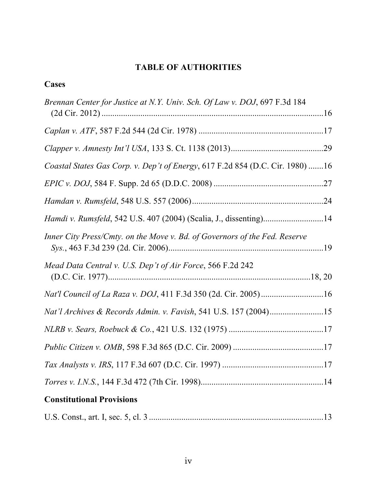# **TABLE OF AUTHORITIES**

# **Cases**

| Brennan Center for Justice at N.Y. Univ. Sch. Of Law v. DOJ, 697 F.3d 184     |  |
|-------------------------------------------------------------------------------|--|
|                                                                               |  |
|                                                                               |  |
| Coastal States Gas Corp. v. Dep't of Energy, 617 F.2d 854 (D.C. Cir. 1980) 16 |  |
|                                                                               |  |
|                                                                               |  |
| Hamdi v. Rumsfeld, 542 U.S. 407 (2004) (Scalia, J., dissenting)14             |  |
| Inner City Press/Cmty. on the Move v. Bd. of Governors of the Fed. Reserve    |  |
| Mead Data Central v. U.S. Dep't of Air Force, 566 F.2d 242                    |  |
|                                                                               |  |
| Nat'l Archives & Records Admin. v. Favish, 541 U.S. 157 (2004)15              |  |
|                                                                               |  |
|                                                                               |  |
|                                                                               |  |
|                                                                               |  |
| <b>Constitutional Provisions</b>                                              |  |

|--|--|--|--|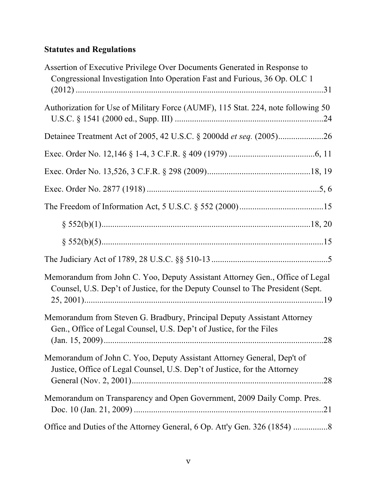# **Statutes and Regulations**

| Assertion of Executive Privilege Over Documents Generated in Response to<br>Congressional Investigation Into Operation Fast and Furious, 36 Op. OLC 1          |
|----------------------------------------------------------------------------------------------------------------------------------------------------------------|
|                                                                                                                                                                |
| Authorization for Use of Military Force (AUMF), 115 Stat. 224, note following 50                                                                               |
|                                                                                                                                                                |
|                                                                                                                                                                |
|                                                                                                                                                                |
|                                                                                                                                                                |
|                                                                                                                                                                |
|                                                                                                                                                                |
|                                                                                                                                                                |
|                                                                                                                                                                |
| Memorandum from John C. Yoo, Deputy Assistant Attorney Gen., Office of Legal<br>Counsel, U.S. Dep't of Justice, for the Deputy Counsel to The President (Sept. |
| Memorandum from Steven G. Bradbury, Principal Deputy Assistant Attorney<br>Gen., Office of Legal Counsel, U.S. Dep't of Justice, for the Files                 |
| Memorandum of John C. Yoo, Deputy Assistant Attorney General, Dep't of<br>Justice, Office of Legal Counsel, U.S. Dep't of Justice, for the Attorney            |
| Memorandum on Transparency and Open Government, 2009 Daily Comp. Pres.                                                                                         |
|                                                                                                                                                                |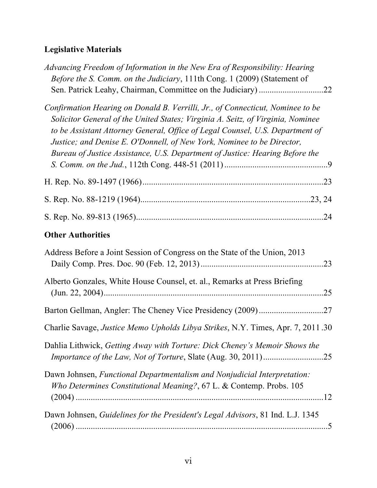# **Legislative Materials**

| Advancing Freedom of Information in the New Era of Responsibility: Hearing<br>Before the S. Comm. on the Judiciary, 111th Cong. 1 (2009) (Statement of                                                                                                                                                                                                                                                       |     |
|--------------------------------------------------------------------------------------------------------------------------------------------------------------------------------------------------------------------------------------------------------------------------------------------------------------------------------------------------------------------------------------------------------------|-----|
| Confirmation Hearing on Donald B. Verrilli, Jr., of Connecticut, Nominee to be<br>Solicitor General of the United States; Virginia A. Seitz, of Virginia, Nominee<br>to be Assistant Attorney General, Office of Legal Counsel, U.S. Department of<br>Justice; and Denise E. O'Donnell, of New York, Nominee to be Director,<br>Bureau of Justice Assistance, U.S. Department of Justice: Hearing Before the |     |
|                                                                                                                                                                                                                                                                                                                                                                                                              |     |
|                                                                                                                                                                                                                                                                                                                                                                                                              |     |
|                                                                                                                                                                                                                                                                                                                                                                                                              |     |
| <b>Other Authorities</b>                                                                                                                                                                                                                                                                                                                                                                                     |     |
| Address Before a Joint Session of Congress on the State of the Union, 2013                                                                                                                                                                                                                                                                                                                                   |     |
| Alberto Gonzales, White House Counsel, et. al., Remarks at Press Briefing                                                                                                                                                                                                                                                                                                                                    | .25 |
|                                                                                                                                                                                                                                                                                                                                                                                                              |     |
| Charlie Savage, Justice Memo Upholds Libya Strikes, N.Y. Times, Apr. 7, 2011.30                                                                                                                                                                                                                                                                                                                              |     |
| Dahlia Lithwick, Getting Away with Torture: Dick Cheney's Memoir Shows the                                                                                                                                                                                                                                                                                                                                   |     |
| Dawn Johnsen, Functional Departmentalism and Nonjudicial Interpretation:<br>Who Determines Constitutional Meaning?, 67 L. & Contemp. Probs. 105                                                                                                                                                                                                                                                              |     |
| Dawn Johnsen, Guidelines for the President's Legal Advisors, 81 Ind. L.J. 1345                                                                                                                                                                                                                                                                                                                               |     |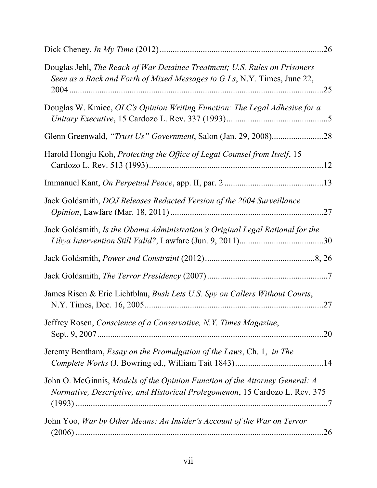| Douglas Jehl, The Reach of War Detainee Treatment; U.S. Rules on Prisoners<br>Seen as a Back and Forth of Mixed Messages to G.I.s, N.Y. Times, June 22,    |     |
|------------------------------------------------------------------------------------------------------------------------------------------------------------|-----|
| Douglas W. Kmiec, OLC's Opinion Writing Function: The Legal Adhesive for a                                                                                 |     |
|                                                                                                                                                            |     |
| Harold Hongju Koh, Protecting the Office of Legal Counsel from Itself, 15                                                                                  |     |
|                                                                                                                                                            |     |
| Jack Goldsmith, DOJ Releases Redacted Version of the 2004 Surveillance                                                                                     |     |
| Jack Goldsmith, Is the Obama Administration's Original Legal Rational for the                                                                              |     |
|                                                                                                                                                            |     |
|                                                                                                                                                            |     |
| James Risen & Eric Lichtblau, Bush Lets U.S. Spy on Callers Without Courts,                                                                                | .27 |
| Jeffrey Rosen, Conscience of a Conservative, N.Y. Times Magazine,                                                                                          |     |
| Jeremy Bentham, <i>Essay on the Promulgation of the Laws</i> , Ch. 1, <i>in The</i>                                                                        |     |
| John O. McGinnis, Models of the Opinion Function of the Attorney General: A<br>Normative, Descriptive, and Historical Prolegomenon, 15 Cardozo L. Rev. 375 |     |
| John Yoo, War by Other Means: An Insider's Account of the War on Terror                                                                                    |     |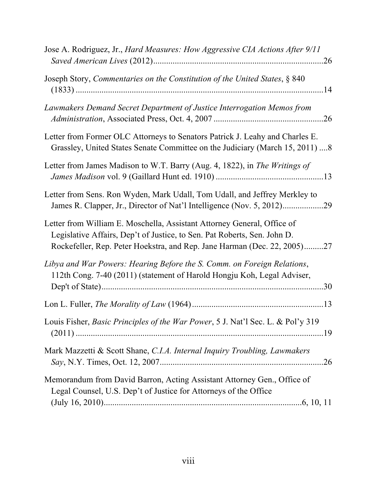| Jose A. Rodriguez, Jr., Hard Measures: How Aggressive CIA Actions After 9/11                                                                                                                                                    |
|---------------------------------------------------------------------------------------------------------------------------------------------------------------------------------------------------------------------------------|
| Joseph Story, Commentaries on the Constitution of the United States, § 840                                                                                                                                                      |
| Lawmakers Demand Secret Department of Justice Interrogation Memos from                                                                                                                                                          |
| Letter from Former OLC Attorneys to Senators Patrick J. Leahy and Charles E.<br>Grassley, United States Senate Committee on the Judiciary (March 15, 2011) 8                                                                    |
| Letter from James Madison to W.T. Barry (Aug. 4, 1822), in The Writings of                                                                                                                                                      |
| Letter from Sens. Ron Wyden, Mark Udall, Tom Udall, and Jeffrey Merkley to                                                                                                                                                      |
| Letter from William E. Moschella, Assistant Attorney General, Office of<br>Legislative Affairs, Dep't of Justice, to Sen. Pat Roberts, Sen. John D.<br>Rockefeller, Rep. Peter Hoekstra, and Rep. Jane Harman (Dec. 22, 2005)27 |
| Libya and War Powers: Hearing Before the S. Comm. on Foreign Relations,<br>112th Cong. 7-40 (2011) (statement of Harold Hongju Koh, Legal Adviser,                                                                              |
|                                                                                                                                                                                                                                 |
| Louis Fisher, Basic Principles of the War Power, 5 J. Nat'l Sec. L. & Pol'y 319                                                                                                                                                 |
| Mark Mazzetti & Scott Shane, C.I.A. Internal Inquiry Troubling, Lawmakers                                                                                                                                                       |
| Memorandum from David Barron, Acting Assistant Attorney Gen., Office of<br>Legal Counsel, U.S. Dep't of Justice for Attorneys of the Office                                                                                     |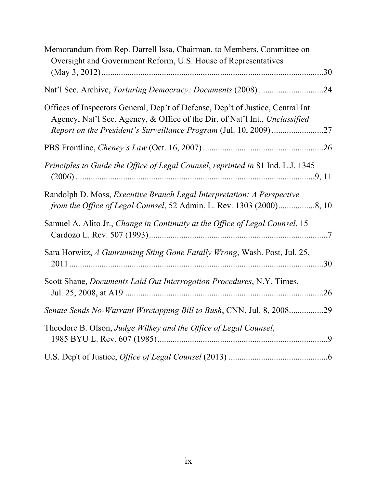| Memorandum from Rep. Darrell Issa, Chairman, to Members, Committee on<br>Oversight and Government Reform, U.S. House of Representatives<br>.30                 |  |
|----------------------------------------------------------------------------------------------------------------------------------------------------------------|--|
|                                                                                                                                                                |  |
| .24                                                                                                                                                            |  |
| Offices of Inspectors General, Dep't of Defense, Dep't of Justice, Central Int.<br>Agency, Nat'l Sec. Agency, & Office of the Dir. of Nat'l Int., Unclassified |  |
|                                                                                                                                                                |  |
| Principles to Guide the Office of Legal Counsel, reprinted in 81 Ind. L.J. 1345                                                                                |  |
| Randolph D. Moss, <i>Executive Branch Legal Interpretation: A Perspective</i><br>from the Office of Legal Counsel, 52 Admin. L. Rev. 1303 (2000)8, 10          |  |
| Samuel A. Alito Jr., Change in Continuity at the Office of Legal Counsel, 15                                                                                   |  |
| Sara Horwitz, A Gunrunning Sting Gone Fatally Wrong, Wash. Post, Jul. 25,<br>.30                                                                               |  |
| Scott Shane, <i>Documents Laid Out Interrogation Procedures</i> , N.Y. Times,<br>26                                                                            |  |
| Senate Sends No-Warrant Wiretapping Bill to Bush, CNN, Jul. 8, 2008<br>.29                                                                                     |  |
| Theodore B. Olson, Judge Wilkey and the Office of Legal Counsel,                                                                                               |  |
|                                                                                                                                                                |  |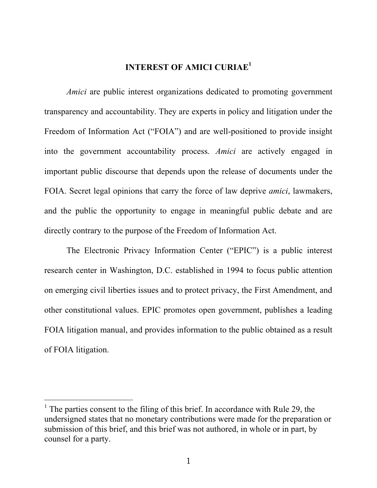## **INTEREST OF AMICI CURIAE<sup>1</sup>**

*Amici* are public interest organizations dedicated to promoting government transparency and accountability. They are experts in policy and litigation under the Freedom of Information Act ("FOIA") and are well-positioned to provide insight into the government accountability process. *Amici* are actively engaged in important public discourse that depends upon the release of documents under the FOIA. Secret legal opinions that carry the force of law deprive *amici*, lawmakers, and the public the opportunity to engage in meaningful public debate and are directly contrary to the purpose of the Freedom of Information Act.

The Electronic Privacy Information Center ("EPIC") is a public interest research center in Washington, D.C. established in 1994 to focus public attention on emerging civil liberties issues and to protect privacy, the First Amendment, and other constitutional values. EPIC promotes open government, publishes a leading FOIA litigation manual, and provides information to the public obtained as a result of FOIA litigation.

 $\frac{1}{1}$ <sup>1</sup> The parties consent to the filing of this brief. In accordance with Rule 29, the undersigned states that no monetary contributions were made for the preparation or submission of this brief, and this brief was not authored, in whole or in part, by counsel for a party.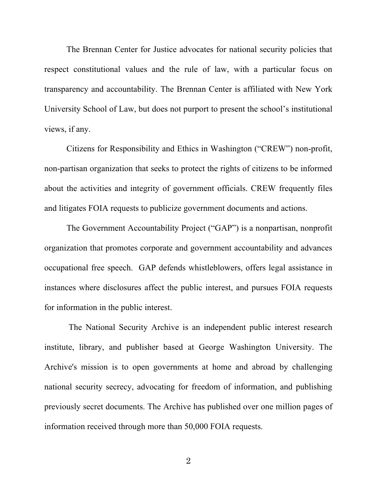The Brennan Center for Justice advocates for national security policies that respect constitutional values and the rule of law, with a particular focus on transparency and accountability. The Brennan Center is affiliated with New York University School of Law, but does not purport to present the school's institutional views, if any.

Citizens for Responsibility and Ethics in Washington ("CREW") non-profit, non-partisan organization that seeks to protect the rights of citizens to be informed about the activities and integrity of government officials. CREW frequently files and litigates FOIA requests to publicize government documents and actions.

The Government Accountability Project ("GAP") is a nonpartisan, nonprofit organization that promotes corporate and government accountability and advances occupational free speech. GAP defends whistleblowers, offers legal assistance in instances where disclosures affect the public interest, and pursues FOIA requests for information in the public interest.

The National Security Archive is an independent public interest research institute, library, and publisher based at George Washington University. The Archive's mission is to open governments at home and abroad by challenging national security secrecy, advocating for freedom of information, and publishing previously secret documents. The Archive has published over one million pages of information received through more than 50,000 FOIA requests.

2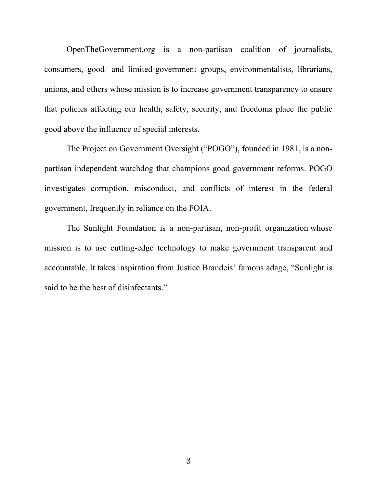OpenTheGovernment.org is a non-partisan coalition of journalists, consumers, good- and limited-government groups, environmentalists, librarians, unions, and others whose mission is to increase government transparency to ensure that policies affecting our health, safety, security, and freedoms place the public good above the influence of special interests.

The Project on Government Oversight ("POGO"), founded in 1981, is a nonpartisan independent watchdog that champions good government reforms. POGO investigates corruption, misconduct, and conflicts of interest in the federal government, frequently in reliance on the FOIA.

The Sunlight Foundation is a non-partisan, non-profit organization whose mission is to use cutting-edge technology to make government transparent and accountable. It takes inspiration from Justice Brandeis' famous adage, "Sunlight is said to be the best of disinfectants."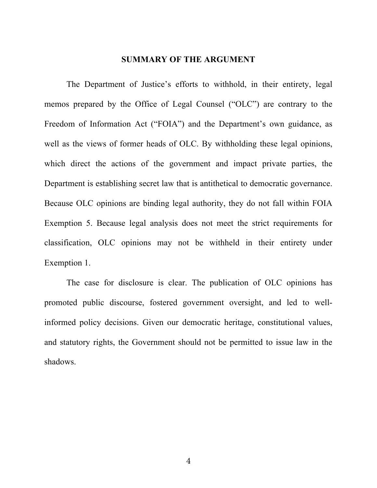#### **SUMMARY OF THE ARGUMENT**

The Department of Justice's efforts to withhold, in their entirety, legal memos prepared by the Office of Legal Counsel ("OLC") are contrary to the Freedom of Information Act ("FOIA") and the Department's own guidance, as well as the views of former heads of OLC. By withholding these legal opinions, which direct the actions of the government and impact private parties, the Department is establishing secret law that is antithetical to democratic governance. Because OLC opinions are binding legal authority, they do not fall within FOIA Exemption 5. Because legal analysis does not meet the strict requirements for classification, OLC opinions may not be withheld in their entirety under Exemption 1.

The case for disclosure is clear. The publication of OLC opinions has promoted public discourse, fostered government oversight, and led to wellinformed policy decisions. Given our democratic heritage, constitutional values, and statutory rights, the Government should not be permitted to issue law in the shadows.

4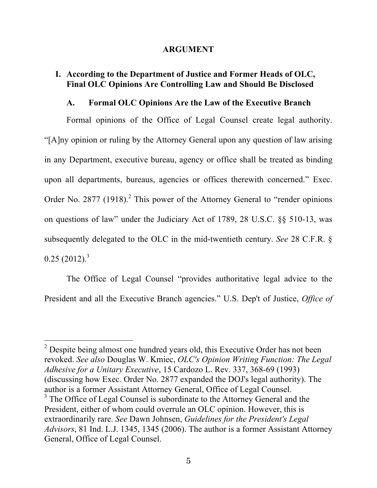#### **ARGUMENT**

## **I. According to the Department of Justice and Former Heads of OLC, Final OLC Opinions Are Controlling Law and Should Be Disclosed**

#### **A. Formal OLC Opinions Are the Law of the Executive Branch**

Formal opinions of the Office of Legal Counsel create legal authority. "[A]ny opinion or ruling by the Attorney General upon any question of law arising in any Department, executive bureau, agency or office shall be treated as binding upon all departments, bureaus, agencies or offices therewith concerned." Exec. Order No. 2877  $(1918)$ .<sup>2</sup> This power of the Attorney General to "render opinions" on questions of law" under the Judiciary Act of 1789, 28 U.S.C. §§ 510-13, was subsequently delegated to the OLC in the mid-twentieth century. *See* 28 C.F.R. §  $0.25$  (2012).<sup>3</sup>

The Office of Legal Counsel "provides authoritative legal advice to the President and all the Executive Branch agencies." U.S. Dep't of Justice, *Office of* 

 $\frac{1}{2}$  $2^{2}$  Despite being almost one hundred years old, this Executive Order has not been revoked. *See also* Douglas W. Kmiec, *OLC's Opinion Writing Function: The Legal Adhesive for a Unitary Executive*, 15 Cardozo L. Rev. 337, 368-69 (1993) (discussing how Exec. Order No. 2877 expanded the DOJ's legal authority). The author is a former Assistant Attorney General, Office of Legal Counsel. <sup>3</sup> The Office of Legal Counsel is subordinate to the Attorney General and the President, either of whom could overrule an OLC opinion. However, this is extraordinarily rare. *See* Dawn Johnsen, *Guidelines for the President's Legal Advisors*, 81 Ind. L.J. 1345, 1345 (2006). The author is a former Assistant Attorney General, Office of Legal Counsel.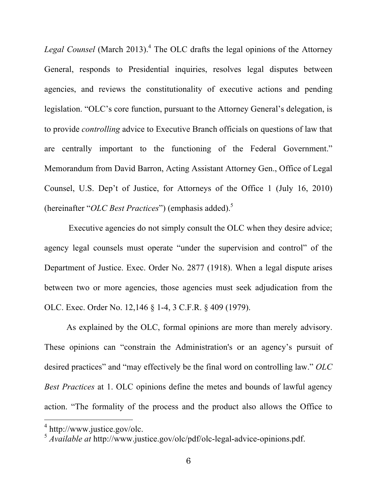Legal Counsel (March 2013).<sup>4</sup> The OLC drafts the legal opinions of the Attorney General, responds to Presidential inquiries, resolves legal disputes between agencies, and reviews the constitutionality of executive actions and pending legislation. "OLC's core function, pursuant to the Attorney General's delegation, is to provide *controlling* advice to Executive Branch officials on questions of law that are centrally important to the functioning of the Federal Government." Memorandum from David Barron, Acting Assistant Attorney Gen., Office of Legal Counsel, U.S. Dep't of Justice, for Attorneys of the Office 1 (July 16, 2010) (hereinafter "*OLC Best Practices*") (emphasis added). 5

 Executive agencies do not simply consult the OLC when they desire advice; agency legal counsels must operate "under the supervision and control" of the Department of Justice. Exec. Order No. 2877 (1918). When a legal dispute arises between two or more agencies, those agencies must seek adjudication from the OLC. Exec. Order No. 12,146 § 1-4, 3 C.F.R. § 409 (1979).

As explained by the OLC, formal opinions are more than merely advisory. These opinions can "constrain the Administration's or an agency's pursuit of desired practices" and "may effectively be the final word on controlling law." *OLC Best Practices* at 1. OLC opinions define the metes and bounds of lawful agency action. "The formality of the process and the product also allows the Office to

 $\frac{1}{4}$ http://www.justice.gov/olc.

<sup>5</sup> *Available at* http://www.justice.gov/olc/pdf/olc-legal-advice-opinions.pdf.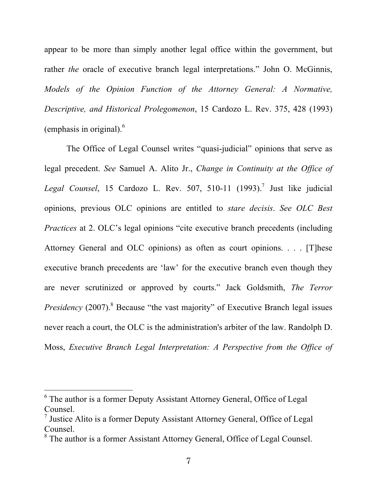appear to be more than simply another legal office within the government, but rather *the* oracle of executive branch legal interpretations." John O. McGinnis, *Models of the Opinion Function of the Attorney General: A Normative, Descriptive, and Historical Prolegomenon*, 15 Cardozo L. Rev. 375, 428 (1993) (emphasis in original). $<sup>6</sup>$ </sup>

The Office of Legal Counsel writes "quasi-judicial" opinions that serve as legal precedent. *See* Samuel A. Alito Jr., *Change in Continuity at the Office of Legal Counsel*, 15 Cardozo L. Rev. 507, 510-11 (1993). <sup>7</sup> Just like judicial opinions, previous OLC opinions are entitled to *stare decisis*. *See OLC Best Practices* at 2. OLC's legal opinions "cite executive branch precedents (including Attorney General and OLC opinions) as often as court opinions. . . . [T]hese executive branch precedents are 'law' for the executive branch even though they are never scrutinized or approved by courts." Jack Goldsmith, *The Terror Presidency* (2007).<sup>8</sup> Because "the vast majority" of Executive Branch legal issues never reach a court, the OLC is the administration's arbiter of the law. Randolph D. Moss, *Executive Branch Legal Interpretation: A Perspective from the Office of* 

 $\frac{1}{6}$  $6$  The author is a former Deputy Assistant Attorney General, Office of Legal Counsel.

<sup>&</sup>lt;sup>7</sup> Justice Alito is a former Deputy Assistant Attorney General, Office of Legal Counsel.

<sup>&</sup>lt;sup>8</sup> The author is a former Assistant Attorney General, Office of Legal Counsel.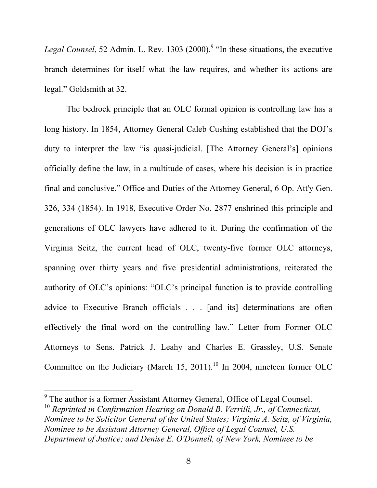*Legal Counsel*, 52 Admin. L. Rev. 1303 (2000). <sup>9</sup> "In these situations, the executive branch determines for itself what the law requires, and whether its actions are legal." Goldsmith at 32.

The bedrock principle that an OLC formal opinion is controlling law has a long history. In 1854, Attorney General Caleb Cushing established that the DOJ's duty to interpret the law "is quasi-judicial. [The Attorney General's] opinions officially define the law, in a multitude of cases, where his decision is in practice final and conclusive." Office and Duties of the Attorney General, 6 Op. Att'y Gen. 326, 334 (1854). In 1918, Executive Order No. 2877 enshrined this principle and generations of OLC lawyers have adhered to it. During the confirmation of the Virginia Seitz, the current head of OLC, twenty-five former OLC attorneys, spanning over thirty years and five presidential administrations, reiterated the authority of OLC's opinions: "OLC's principal function is to provide controlling advice to Executive Branch officials . . . [and its] determinations are often effectively the final word on the controlling law." Letter from Former OLC Attorneys to Sens. Patrick J. Leahy and Charles E. Grassley, U.S. Senate Committee on the Judiciary (March 15, 2011).<sup>10</sup> In 2004, nineteen former OLC

 <sup>9</sup> <sup>9</sup> The author is a former Assistant Attorney General, Office of Legal Counsel.

<sup>&</sup>lt;sup>10</sup> Reprinted in Confirmation Hearing on Donald B. Verrilli, Jr., of Connecticut, *Nominee to be Solicitor General of the United States; Virginia A. Seitz, of Virginia, Nominee to be Assistant Attorney General, Office of Legal Counsel, U.S. Department of Justice; and Denise E. O'Donnell, of New York, Nominee to be*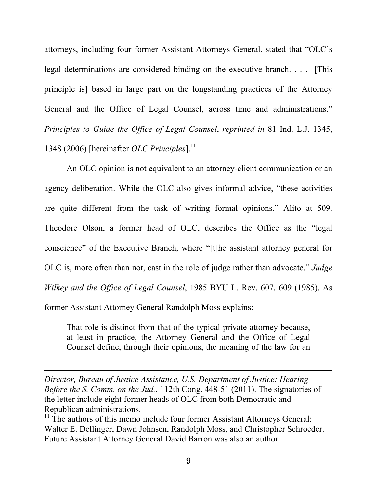attorneys, including four former Assistant Attorneys General, stated that "OLC's legal determinations are considered binding on the executive branch. . . . [This principle is] based in large part on the longstanding practices of the Attorney General and the Office of Legal Counsel, across time and administrations." *Principles to Guide the Office of Legal Counsel*, *reprinted in* 81 Ind. L.J. 1345, 1348 (2006) [hereinafter *OLC Principles*]. 11

An OLC opinion is not equivalent to an attorney-client communication or an agency deliberation. While the OLC also gives informal advice, "these activities are quite different from the task of writing formal opinions." Alito at 509. Theodore Olson, a former head of OLC, describes the Office as the "legal conscience" of the Executive Branch, where "[t]he assistant attorney general for OLC is, more often than not, cast in the role of judge rather than advocate." *Judge Wilkey and the Office of Legal Counsel*, 1985 BYU L. Rev. 607, 609 (1985). As former Assistant Attorney General Randolph Moss explains:

That role is distinct from that of the typical private attorney because, at least in practice, the Attorney General and the Office of Legal Counsel define, through their opinions, the meaning of the law for an

*Director, Bureau of Justice Assistance, U.S. Department of Justice: Hearing Before the S. Comm. on the Jud.*, 112th Cong. 448-51 (2011). The signatories of the letter include eight former heads of OLC from both Democratic and Republican administrations.

 $\overline{a}$ 

 $11$  The authors of this memo include four former Assistant Attorneys General: Walter E. Dellinger, Dawn Johnsen, Randolph Moss, and Christopher Schroeder. Future Assistant Attorney General David Barron was also an author.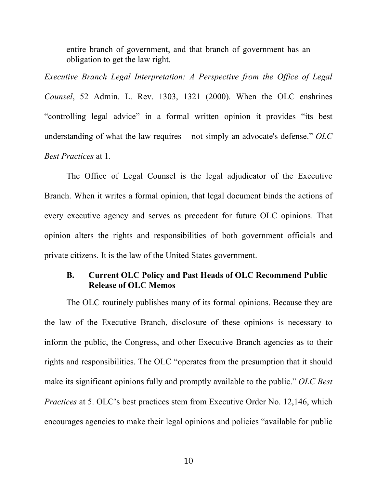entire branch of government, and that branch of government has an obligation to get the law right.

*Executive Branch Legal Interpretation: A Perspective from the Office of Legal Counsel*, 52 Admin. L. Rev. 1303, 1321 (2000). When the OLC enshrines "controlling legal advice" in a formal written opinion it provides "its best understanding of what the law requires − not simply an advocate's defense." *OLC Best Practices* at 1.

The Office of Legal Counsel is the legal adjudicator of the Executive Branch. When it writes a formal opinion, that legal document binds the actions of every executive agency and serves as precedent for future OLC opinions. That opinion alters the rights and responsibilities of both government officials and private citizens. It is the law of the United States government.

## **B. Current OLC Policy and Past Heads of OLC Recommend Public Release of OLC Memos**

The OLC routinely publishes many of its formal opinions. Because they are the law of the Executive Branch, disclosure of these opinions is necessary to inform the public, the Congress, and other Executive Branch agencies as to their rights and responsibilities. The OLC "operates from the presumption that it should make its significant opinions fully and promptly available to the public." *OLC Best Practices* at 5. OLC's best practices stem from Executive Order No. 12,146, which encourages agencies to make their legal opinions and policies "available for public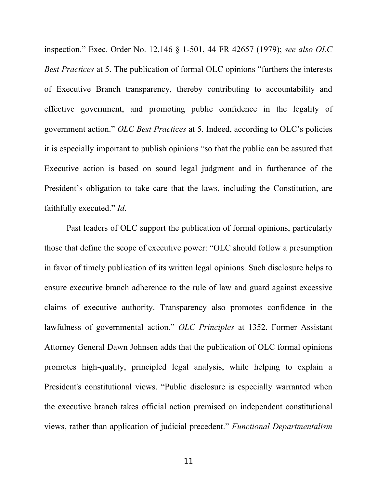inspection." Exec. Order No. 12,146 § 1-501, 44 FR 42657 (1979); *see also OLC Best Practices* at 5. The publication of formal OLC opinions "furthers the interests of Executive Branch transparency, thereby contributing to accountability and effective government, and promoting public confidence in the legality of government action." *OLC Best Practices* at 5. Indeed, according to OLC's policies it is especially important to publish opinions "so that the public can be assured that Executive action is based on sound legal judgment and in furtherance of the President's obligation to take care that the laws, including the Constitution, are faithfully executed." *Id*.

Past leaders of OLC support the publication of formal opinions, particularly those that define the scope of executive power: "OLC should follow a presumption in favor of timely publication of its written legal opinions. Such disclosure helps to ensure executive branch adherence to the rule of law and guard against excessive claims of executive authority. Transparency also promotes confidence in the lawfulness of governmental action." *OLC Principles* at 1352. Former Assistant Attorney General Dawn Johnsen adds that the publication of OLC formal opinions promotes high-quality, principled legal analysis, while helping to explain a President's constitutional views. "Public disclosure is especially warranted when the executive branch takes official action premised on independent constitutional views, rather than application of judicial precedent." *Functional Departmentalism*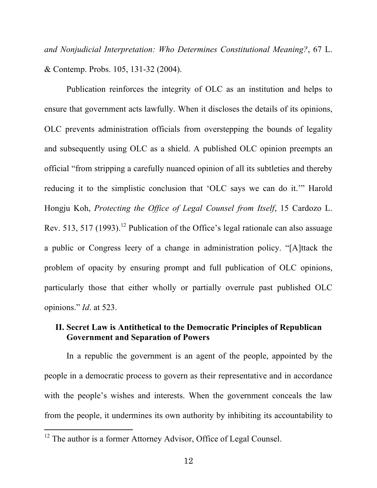*and Nonjudicial Interpretation: Who Determines Constitutional Meaning?*, 67 L. & Contemp. Probs. 105, 131-32 (2004).

Publication reinforces the integrity of OLC as an institution and helps to ensure that government acts lawfully. When it discloses the details of its opinions, OLC prevents administration officials from overstepping the bounds of legality and subsequently using OLC as a shield. A published OLC opinion preempts an official "from stripping a carefully nuanced opinion of all its subtleties and thereby reducing it to the simplistic conclusion that 'OLC says we can do it.'" Harold Hongju Koh, *Protecting the Office of Legal Counsel from Itself*, 15 Cardozo L. Rev. 513, 517 (1993).<sup>12</sup> Publication of the Office's legal rationale can also assuage a public or Congress leery of a change in administration policy. "[A]ttack the problem of opacity by ensuring prompt and full publication of OLC opinions, particularly those that either wholly or partially overrule past published OLC opinions." *Id*. at 523.

# **II. Secret Law is Antithetical to the Democratic Principles of Republican Government and Separation of Powers**

In a republic the government is an agent of the people, appointed by the people in a democratic process to govern as their representative and in accordance with the people's wishes and interests. When the government conceals the law from the people, it undermines its own authority by inhibiting its accountability to

<sup>&</sup>lt;sup>12</sup> The author is a former Attorney Advisor, Office of Legal Counsel.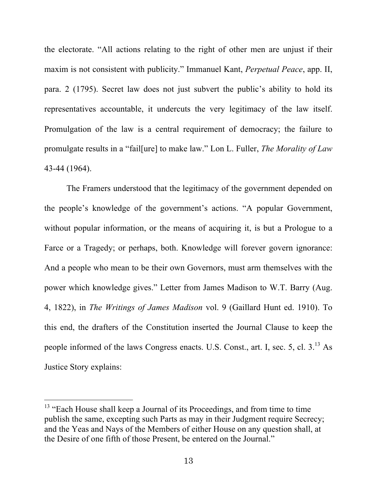the electorate. "All actions relating to the right of other men are unjust if their maxim is not consistent with publicity." Immanuel Kant, *Perpetual Peace*, app. II, para. 2 (1795). Secret law does not just subvert the public's ability to hold its representatives accountable, it undercuts the very legitimacy of the law itself. Promulgation of the law is a central requirement of democracy; the failure to promulgate results in a "fail[ure] to make law." Lon L. Fuller, *The Morality of Law* 43-44 (1964).

The Framers understood that the legitimacy of the government depended on the people's knowledge of the government's actions. "A popular Government, without popular information, or the means of acquiring it, is but a Prologue to a Farce or a Tragedy; or perhaps, both. Knowledge will forever govern ignorance: And a people who mean to be their own Governors, must arm themselves with the power which knowledge gives." Letter from James Madison to W.T. Barry (Aug. 4, 1822), in *The Writings of James Madison* vol. 9 (Gaillard Hunt ed. 1910). To this end, the drafters of the Constitution inserted the Journal Clause to keep the people informed of the laws Congress enacts. U.S. Const., art. I, sec. 5, cl. 3.<sup>13</sup> As Justice Story explains:

<sup>&</sup>lt;sup>13</sup> "Each House shall keep a Journal of its Proceedings, and from time to time publish the same, excepting such Parts as may in their Judgment require Secrecy; and the Yeas and Nays of the Members of either House on any question shall, at the Desire of one fifth of those Present, be entered on the Journal."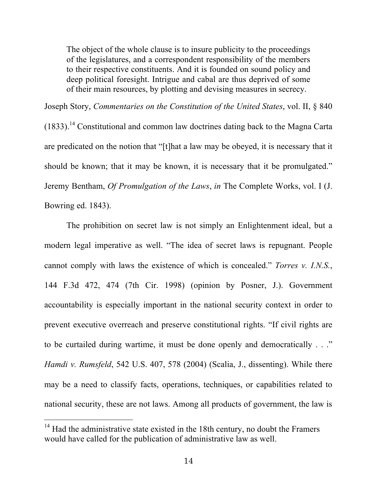The object of the whole clause is to insure publicity to the proceedings of the legislatures, and a correspondent responsibility of the members to their respective constituents. And it is founded on sound policy and deep political foresight. Intrigue and cabal are thus deprived of some of their main resources, by plotting and devising measures in secrecy.

Joseph Story, *Commentaries on the Constitution of the United States*, vol. II, § 840  $(1833)$ .<sup>14</sup> Constitutional and common law doctrines dating back to the Magna Carta are predicated on the notion that "[t]hat a law may be obeyed, it is necessary that it should be known; that it may be known, it is necessary that it be promulgated." Jeremy Bentham, *Of Promulgation of the Laws*, *in* The Complete Works, vol. I (J. Bowring ed. 1843).

The prohibition on secret law is not simply an Enlightenment ideal, but a modern legal imperative as well. "The idea of secret laws is repugnant. People cannot comply with laws the existence of which is concealed." *Torres v. I.N.S.*, 144 F.3d 472, 474 (7th Cir. 1998) (opinion by Posner, J.). Government accountability is especially important in the national security context in order to prevent executive overreach and preserve constitutional rights. "If civil rights are to be curtailed during wartime, it must be done openly and democratically . . ." *Hamdi v. Rumsfeld*, 542 U.S. 407, 578 (2004) (Scalia, J., dissenting). While there may be a need to classify facts, operations, techniques, or capabilities related to national security, these are not laws. Among all products of government, the law is

 $14$  Had the administrative state existed in the 18th century, no doubt the Framers would have called for the publication of administrative law as well.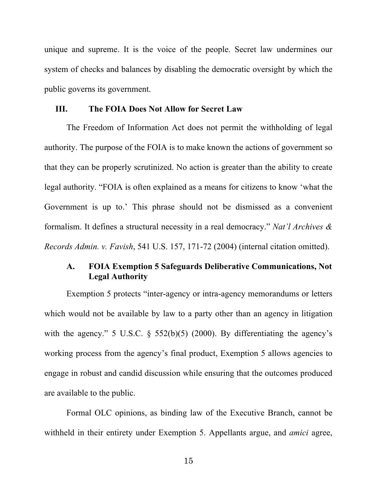unique and supreme. It is the voice of the people. Secret law undermines our system of checks and balances by disabling the democratic oversight by which the public governs its government.

#### **III. The FOIA Does Not Allow for Secret Law**

The Freedom of Information Act does not permit the withholding of legal authority. The purpose of the FOIA is to make known the actions of government so that they can be properly scrutinized. No action is greater than the ability to create legal authority. "FOIA is often explained as a means for citizens to know 'what the Government is up to.' This phrase should not be dismissed as a convenient formalism. It defines a structural necessity in a real democracy." *Nat'l Archives & Records Admin. v. Favish*, 541 U.S. 157, 171-72 (2004) (internal citation omitted).

# **A. FOIA Exemption 5 Safeguards Deliberative Communications, Not Legal Authority**

Exemption 5 protects "inter-agency or intra-agency memorandums or letters which would not be available by law to a party other than an agency in litigation with the agency." 5 U.S.C.  $\S$  552(b)(5) (2000). By differentiating the agency's working process from the agency's final product, Exemption 5 allows agencies to engage in robust and candid discussion while ensuring that the outcomes produced are available to the public.

Formal OLC opinions, as binding law of the Executive Branch, cannot be withheld in their entirety under Exemption 5. Appellants argue, and *amici* agree,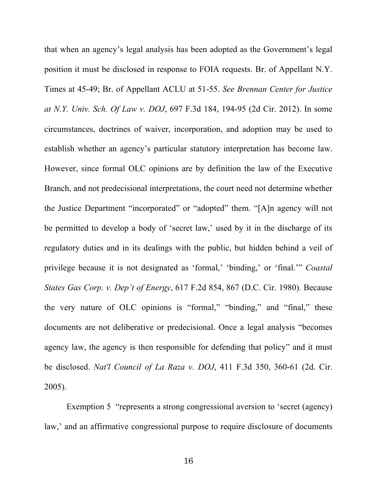that when an agency's legal analysis has been adopted as the Government's legal position it must be disclosed in response to FOIA requests. Br. of Appellant N.Y. Times at 45-49; Br. of Appellant ACLU at 51-55. *See Brennan Center for Justice at N.Y. Univ. Sch. Of Law v. DOJ*, 697 F.3d 184, 194-95 (2d Cir. 2012). In some circumstances, doctrines of waiver, incorporation, and adoption may be used to establish whether an agency's particular statutory interpretation has become law. However, since formal OLC opinions are by definition the law of the Executive Branch, and not predecisional interpretations, the court need not determine whether the Justice Department "incorporated" or "adopted" them. "[A]n agency will not be permitted to develop a body of 'secret law,' used by it in the discharge of its regulatory duties and in its dealings with the public, but hidden behind a veil of privilege because it is not designated as 'formal,' 'binding,' or 'final.'" *Coastal States Gas Corp. v. Dep't of Energy*, 617 F.2d 854, 867 (D.C. Cir. 1980). Because the very nature of OLC opinions is "formal," "binding," and "final," these documents are not deliberative or predecisional. Once a legal analysis "becomes agency law, the agency is then responsible for defending that policy" and it must be disclosed. *Nat'l Council of La Raza v. DOJ*, 411 F.3d 350, 360-61 (2d. Cir. 2005).

Exemption 5 "represents a strong congressional aversion to 'secret (agency) law,' and an affirmative congressional purpose to require disclosure of documents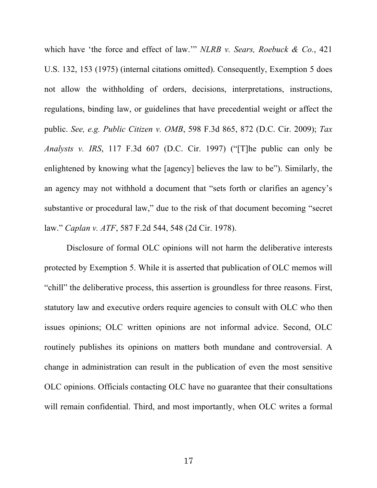which have 'the force and effect of law.'" *NLRB v. Sears, Roebuck & Co.*, 421 U.S. 132, 153 (1975) (internal citations omitted). Consequently, Exemption 5 does not allow the withholding of orders, decisions, interpretations, instructions, regulations, binding law, or guidelines that have precedential weight or affect the public. *See, e.g. Public Citizen v. OMB*, 598 F.3d 865, 872 (D.C. Cir. 2009); *Tax Analysts v. IRS*, 117 F.3d 607 (D.C. Cir. 1997) ("[T]he public can only be enlightened by knowing what the [agency] believes the law to be"). Similarly, the an agency may not withhold a document that "sets forth or clarifies an agency's substantive or procedural law," due to the risk of that document becoming "secret law." *Caplan v. ATF*, 587 F.2d 544, 548 (2d Cir. 1978).

Disclosure of formal OLC opinions will not harm the deliberative interests protected by Exemption 5. While it is asserted that publication of OLC memos will "chill" the deliberative process, this assertion is groundless for three reasons. First, statutory law and executive orders require agencies to consult with OLC who then issues opinions; OLC written opinions are not informal advice. Second, OLC routinely publishes its opinions on matters both mundane and controversial. A change in administration can result in the publication of even the most sensitive OLC opinions. Officials contacting OLC have no guarantee that their consultations will remain confidential. Third, and most importantly, when OLC writes a formal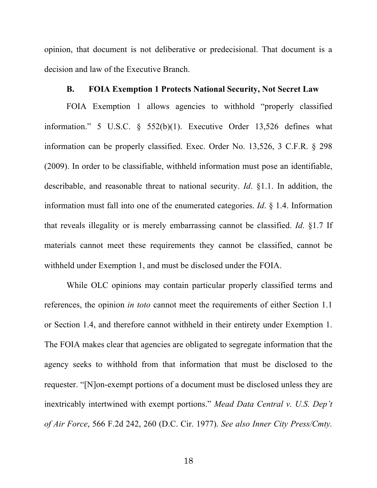opinion, that document is not deliberative or predecisional. That document is a decision and law of the Executive Branch.

#### **B. FOIA Exemption 1 Protects National Security, Not Secret Law**

FOIA Exemption 1 allows agencies to withhold "properly classified information." 5 U.S.C. § 552(b)(1). Executive Order 13,526 defines what information can be properly classified. Exec. Order No. 13,526, 3 C.F.R. § 298 (2009). In order to be classifiable, withheld information must pose an identifiable, describable, and reasonable threat to national security. *Id*. §1.1. In addition, the information must fall into one of the enumerated categories. *Id*. § 1.4. Information that reveals illegality or is merely embarrassing cannot be classified. *Id*. §1.7 If materials cannot meet these requirements they cannot be classified, cannot be withheld under Exemption 1, and must be disclosed under the FOIA.

While OLC opinions may contain particular properly classified terms and references, the opinion *in toto* cannot meet the requirements of either Section 1.1 or Section 1.4, and therefore cannot withheld in their entirety under Exemption 1. The FOIA makes clear that agencies are obligated to segregate information that the agency seeks to withhold from that information that must be disclosed to the requester. "[N]on-exempt portions of a document must be disclosed unless they are inextricably intertwined with exempt portions." *Mead Data Central v. U.S. Dep't of Air Force*, 566 F.2d 242, 260 (D.C. Cir. 1977). *See also Inner City Press/Cmty.*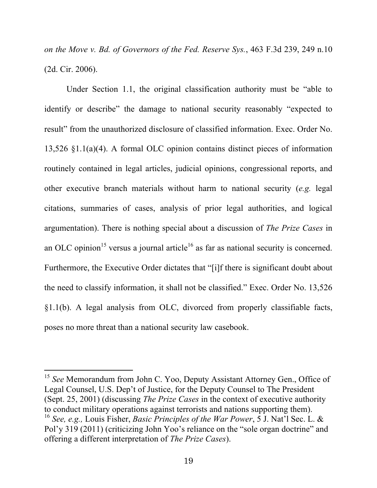*on the Move v. Bd. of Governors of the Fed. Reserve Sys.*, 463 F.3d 239, 249 n.10 (2d. Cir. 2006).

Under Section 1.1, the original classification authority must be "able to identify or describe" the damage to national security reasonably "expected to result" from the unauthorized disclosure of classified information. Exec. Order No. 13,526 §1.1(a)(4). A formal OLC opinion contains distinct pieces of information routinely contained in legal articles, judicial opinions, congressional reports, and other executive branch materials without harm to national security (*e.g.* legal citations, summaries of cases, analysis of prior legal authorities, and logical argumentation). There is nothing special about a discussion of *The Prize Cases* in an OLC opinion<sup>15</sup> versus a journal article<sup>16</sup> as far as national security is concerned. Furthermore, the Executive Order dictates that "[i]f there is significant doubt about the need to classify information, it shall not be classified." Exec. Order No. 13,526 §1.1(b). A legal analysis from OLC, divorced from properly classifiable facts, poses no more threat than a national security law casebook.

<sup>&</sup>lt;sup>15</sup> See Memorandum from John C. Yoo, Deputy Assistant Attorney Gen., Office of Legal Counsel, U.S. Dep't of Justice, for the Deputy Counsel to The President (Sept. 25, 2001) (discussing *The Prize Cases* in the context of executive authority to conduct military operations against terrorists and nations supporting them). <sup>16</sup> *See, e.g.,* Louis Fisher, *Basic Principles of the War Power*, 5 J. Nat'l Sec. L. & Pol'y 319 (2011) (criticizing John Yoo's reliance on the "sole organ doctrine" and offering a different interpretation of *The Prize Cases*).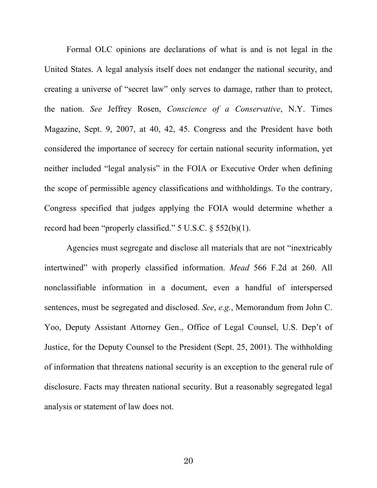Formal OLC opinions are declarations of what is and is not legal in the United States. A legal analysis itself does not endanger the national security, and creating a universe of "secret law" only serves to damage, rather than to protect, the nation. *See* Jeffrey Rosen, *Conscience of a Conservative*, N.Y. Times Magazine, Sept. 9, 2007, at 40, 42, 45. Congress and the President have both considered the importance of secrecy for certain national security information, yet neither included "legal analysis" in the FOIA or Executive Order when defining the scope of permissible agency classifications and withholdings. To the contrary, Congress specified that judges applying the FOIA would determine whether a record had been "properly classified." 5 U.S.C. § 552(b)(1).

Agencies must segregate and disclose all materials that are not "inextricably intertwined" with properly classified information. *Mead* 566 F.2d at 260. All nonclassifiable information in a document, even a handful of interspersed sentences, must be segregated and disclosed. *See*, *e.g.*, Memorandum from John C. Yoo, Deputy Assistant Attorney Gen., Office of Legal Counsel, U.S. Dep't of Justice, for the Deputy Counsel to the President (Sept. 25, 2001). The withholding of information that threatens national security is an exception to the general rule of disclosure. Facts may threaten national security. But a reasonably segregated legal analysis or statement of law does not.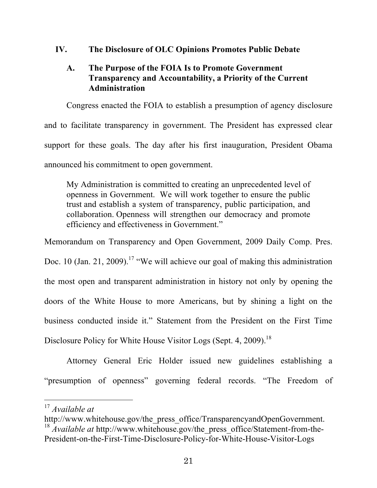# **IV. The Disclosure of OLC Opinions Promotes Public Debate**

# **A. The Purpose of the FOIA Is to Promote Government Transparency and Accountability, a Priority of the Current Administration**

Congress enacted the FOIA to establish a presumption of agency disclosure and to facilitate transparency in government. The President has expressed clear support for these goals. The day after his first inauguration, President Obama announced his commitment to open government.

My Administration is committed to creating an unprecedented level of openness in Government. We will work together to ensure the public trust and establish a system of transparency, public participation, and collaboration. Openness will strengthen our democracy and promote efficiency and effectiveness in Government."

Memorandum on Transparency and Open Government, 2009 Daily Comp. Pres. Doc. 10 (Jan. 21, 2009).<sup>17</sup> "We will achieve our goal of making this administration the most open and transparent administration in history not only by opening the doors of the White House to more Americans, but by shining a light on the business conducted inside it." Statement from the President on the First Time Disclosure Policy for White House Visitor Logs (Sept. 4, 2009).<sup>18</sup>

Attorney General Eric Holder issued new guidelines establishing a "presumption of openness" governing federal records. "The Freedom of

 <sup>17</sup> *Available at*

http://www.whitehouse.gov/the\_press\_office/TransparencyandOpenGovernment. <sup>18</sup> *Available at http://www.whitehouse.gov/the\_press\_office/Statement-from-the-*President-on-the-First-Time-Disclosure-Policy-for-White-House-Visitor-Logs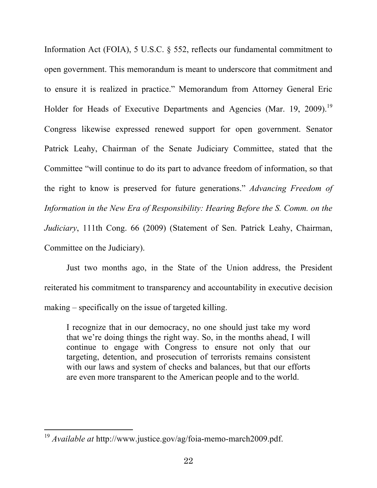Information Act (FOIA), 5 U.S.C. § 552, reflects our fundamental commitment to open government. This memorandum is meant to underscore that commitment and to ensure it is realized in practice." Memorandum from Attorney General Eric Holder for Heads of Executive Departments and Agencies (Mar. 19, 2009).<sup>19</sup> Congress likewise expressed renewed support for open government. Senator Patrick Leahy, Chairman of the Senate Judiciary Committee, stated that the Committee "will continue to do its part to advance freedom of information, so that the right to know is preserved for future generations." *Advancing Freedom of Information in the New Era of Responsibility: Hearing Before the S. Comm. on the Judiciary*, 111th Cong. 66 (2009) (Statement of Sen. Patrick Leahy, Chairman, Committee on the Judiciary).

Just two months ago, in the State of the Union address, the President reiterated his commitment to transparency and accountability in executive decision making – specifically on the issue of targeted killing.

I recognize that in our democracy, no one should just take my word that we're doing things the right way. So, in the months ahead, I will continue to engage with Congress to ensure not only that our targeting, detention, and prosecution of terrorists remains consistent with our laws and system of checks and balances, but that our efforts are even more transparent to the American people and to the world.

 <sup>19</sup> *Available at* http://www.justice.gov/ag/foia-memo-march2009.pdf.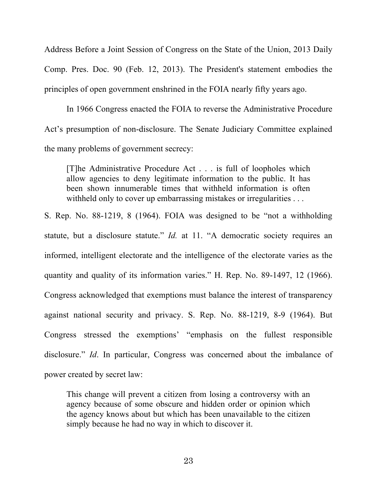Address Before a Joint Session of Congress on the State of the Union, 2013 Daily Comp. Pres. Doc. 90 (Feb. 12, 2013). The President's statement embodies the principles of open government enshrined in the FOIA nearly fifty years ago.

In 1966 Congress enacted the FOIA to reverse the Administrative Procedure Act's presumption of non-disclosure. The Senate Judiciary Committee explained the many problems of government secrecy:

[T]he Administrative Procedure Act . . . is full of loopholes which allow agencies to deny legitimate information to the public. It has been shown innumerable times that withheld information is often withheld only to cover up embarrassing mistakes or irregularities . . .

S. Rep. No. 88-1219, 8 (1964). FOIA was designed to be "not a withholding statute, but a disclosure statute." *Id.* at 11. "A democratic society requires an informed, intelligent electorate and the intelligence of the electorate varies as the quantity and quality of its information varies." H. Rep. No. 89-1497, 12 (1966). Congress acknowledged that exemptions must balance the interest of transparency against national security and privacy. S. Rep. No. 88-1219, 8-9 (1964). But Congress stressed the exemptions' "emphasis on the fullest responsible disclosure." *Id*. In particular, Congress was concerned about the imbalance of power created by secret law:

This change will prevent a citizen from losing a controversy with an agency because of some obscure and hidden order or opinion which the agency knows about but which has been unavailable to the citizen simply because he had no way in which to discover it.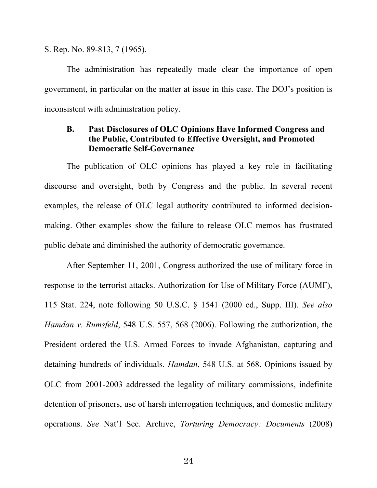S. Rep. No. 89-813, 7 (1965).

The administration has repeatedly made clear the importance of open government, in particular on the matter at issue in this case. The DOJ's position is inconsistent with administration policy.

# **B. Past Disclosures of OLC Opinions Have Informed Congress and the Public, Contributed to Effective Oversight, and Promoted Democratic Self-Governance**

The publication of OLC opinions has played a key role in facilitating discourse and oversight, both by Congress and the public. In several recent examples, the release of OLC legal authority contributed to informed decisionmaking. Other examples show the failure to release OLC memos has frustrated public debate and diminished the authority of democratic governance.

After September 11, 2001, Congress authorized the use of military force in response to the terrorist attacks. Authorization for Use of Military Force (AUMF), 115 Stat. 224, note following 50 U.S.C. § 1541 (2000 ed., Supp. III). *See also Hamdan v. Rumsfeld*, 548 U.S. 557, 568 (2006). Following the authorization, the President ordered the U.S. Armed Forces to invade Afghanistan, capturing and detaining hundreds of individuals. *Hamdan*, 548 U.S. at 568. Opinions issued by OLC from 2001-2003 addressed the legality of military commissions, indefinite detention of prisoners, use of harsh interrogation techniques, and domestic military operations. *See* Nat'l Sec. Archive, *Torturing Democracy: Documents* (2008)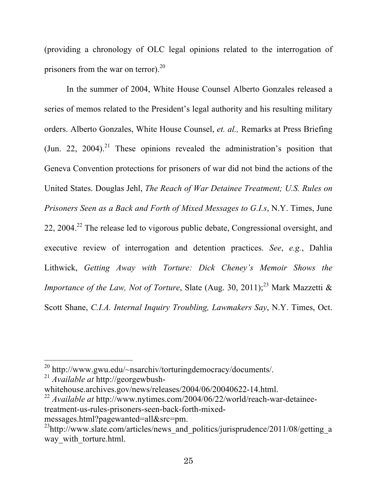(providing a chronology of OLC legal opinions related to the interrogation of prisoners from the war on terror). $^{20}$ 

In the summer of 2004, White House Counsel Alberto Gonzales released a series of memos related to the President's legal authority and his resulting military orders. Alberto Gonzales, White House Counsel, *et. al.,* Remarks at Press Briefing (Jun. 22, 2004).<sup>21</sup> These opinions revealed the administration's position that Geneva Convention protections for prisoners of war did not bind the actions of the United States. Douglas Jehl, *The Reach of War Detainee Treatment; U.S. Rules on Prisoners Seen as a Back and Forth of Mixed Messages to G.I.s*, N.Y. Times, June 22, 2004.<sup>22</sup> The release led to vigorous public debate, Congressional oversight, and executive review of interrogation and detention practices. *See*, *e.g.*, Dahlia Lithwick, *Getting Away with Torture: Dick Cheney's Memoir Shows the Importance of the Law, Not of Torture, Slate (Aug. 30, 2011);*<sup>23</sup> Mark Mazzetti & Scott Shane, *C.I.A. Internal Inquiry Troubling, Lawmakers Say*, N.Y. Times, Oct.

<sup>21</sup> *Available at* http://georgewbush-

 <sup>20</sup> http://www.gwu.edu/~nsarchiv/torturingdemocracy/documents/.

whitehouse.archives.gov/news/releases/2004/06/20040622-14.html.

<sup>22</sup> *Available at* http://www.nytimes.com/2004/06/22/world/reach-war-detaineetreatment-us-rules-prisoners-seen-back-forth-mixedmessages.html?pagewanted=all&src=pm.

 $^{23}$ http://www.slate.com/articles/news\_and\_politics/jurisprudence/2011/08/getting\_a way with torture.html.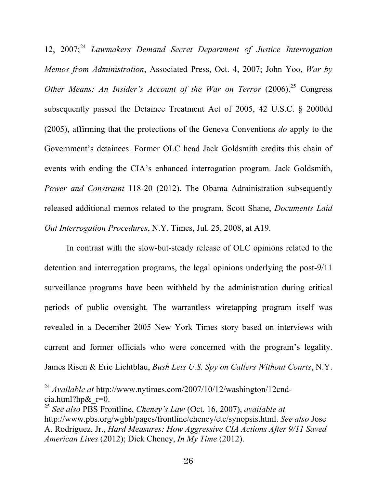12, 2007; <sup>24</sup> *Lawmakers Demand Secret Department of Justice Interrogation Memos from Administration*, Associated Press, Oct. 4, 2007; John Yoo, *War by Other Means: An Insider's Account of the War on Terror* (2006). <sup>25</sup> Congress subsequently passed the Detainee Treatment Act of 2005, 42 U.S.C. § 2000dd (2005), affirming that the protections of the Geneva Conventions *do* apply to the Government's detainees. Former OLC head Jack Goldsmith credits this chain of events with ending the CIA's enhanced interrogation program. Jack Goldsmith, *Power and Constraint* 118-20 (2012). The Obama Administration subsequently released additional memos related to the program. Scott Shane, *Documents Laid Out Interrogation Procedures*, N.Y. Times, Jul. 25, 2008, at A19.

In contrast with the slow-but-steady release of OLC opinions related to the detention and interrogation programs, the legal opinions underlying the post-9/11 surveillance programs have been withheld by the administration during critical periods of public oversight. The warrantless wiretapping program itself was revealed in a December 2005 New York Times story based on interviews with current and former officials who were concerned with the program's legality. James Risen & Eric Lichtblau, *Bush Lets U.S. Spy on Callers Without Courts*, N.Y.

 <sup>24</sup> *Available at* http://www.nytimes.com/2007/10/12/washington/12cndcia.html?hp $\&$ r=0.

<sup>25</sup> *See also* PBS Frontline, *Cheney's Law* (Oct. 16, 2007), *available at* http://www.pbs.org/wgbh/pages/frontline/cheney/etc/synopsis.html. *See also* Jose A. Rodriguez, Jr., *Hard Measures: How Aggressive CIA Actions After 9/11 Saved American Lives* (2012); Dick Cheney, *In My Time* (2012).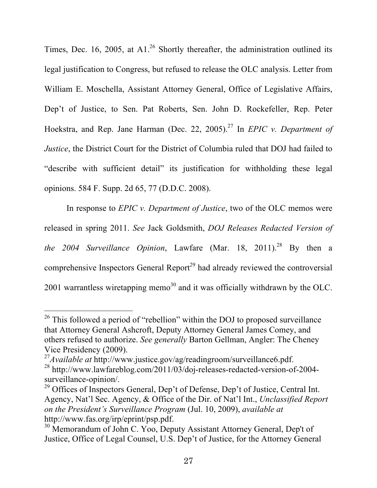Times, Dec. 16, 2005, at A1.<sup>26</sup> Shortly thereafter, the administration outlined its legal justification to Congress, but refused to release the OLC analysis. Letter from William E. Moschella, Assistant Attorney General, Office of Legislative Affairs, Dep't of Justice, to Sen. Pat Roberts, Sen. John D. Rockefeller, Rep. Peter Hoekstra, and Rep. Jane Harman (Dec. 22, 2005). 27 In *EPIC v. Department of Justice*, the District Court for the District of Columbia ruled that DOJ had failed to "describe with sufficient detail" its justification for withholding these legal opinions. 584 F. Supp. 2d 65, 77 (D.D.C. 2008).

In response to *EPIC v. Department of Justice*, two of the OLC memos were released in spring 2011. *See* Jack Goldsmith, *DOJ Releases Redacted Version of the 2004 Surveillance Opinion*, Lawfare (Mar. 18, 2011). 28 By then a comprehensive Inspectors General Report<sup>29</sup> had already reviewed the controversial 2001 warrantless wiretapping memo<sup>30</sup> and it was officially withdrawn by the OLC.

 $26$  This followed a period of "rebellion" within the DOJ to proposed surveillance that Attorney General Ashcroft, Deputy Attorney General James Comey, and others refused to authorize. *See generally* Barton Gellman, Angler: The Cheney Vice Presidency (2009). <sup>27</sup>*Available at* http://www.justice.gov/ag/readingroom/surveillance6.pdf.

<sup>&</sup>lt;sup>28</sup> http://www.lawfareblog.com/2011/03/doj-releases-redacted-version-of-2004-

surveillance-opinion/.

<sup>&</sup>lt;sup>29</sup> Offices of Inspectors General, Dep't of Defense, Dep't of Justice, Central Int. Agency, Nat'l Sec. Agency, & Office of the Dir. of Nat'l Int., *Unclassified Report on the President's Surveillance Program* (Jul. 10, 2009), *available at* http://www.fas.org/irp/eprint/psp.pdf.

<sup>&</sup>lt;sup>30</sup> Memorandum of John C. Yoo, Deputy Assistant Attorney General, Dep't of Justice, Office of Legal Counsel, U.S. Dep't of Justice, for the Attorney General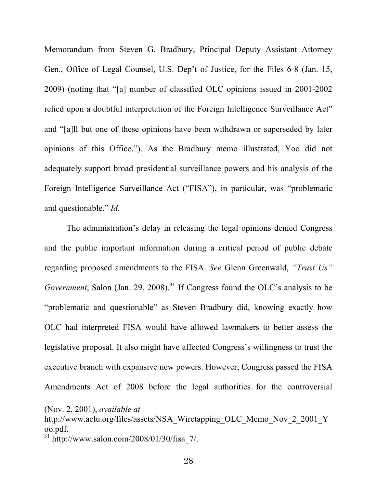Memorandum from Steven G. Bradbury, Principal Deputy Assistant Attorney Gen., Office of Legal Counsel, U.S. Dep't of Justice, for the Files 6-8 (Jan. 15, 2009) (noting that "[a] number of classified OLC opinions issued in 2001-2002 relied upon a doubtful interpretation of the Foreign Intelligence Surveillance Act" and "[a]ll but one of these opinions have been withdrawn or superseded by later opinions of this Office."). As the Bradbury memo illustrated, Yoo did not adequately support broad presidential surveillance powers and his analysis of the Foreign Intelligence Surveillance Act ("FISA"), in particular, was "problematic and questionable." *Id*.

The administration's delay in releasing the legal opinions denied Congress and the public important information during a critical period of public debate regarding proposed amendments to the FISA. *See* Glenn Greenwald, *"Trust Us" Government*, Salon (Jan. 29, 2008). <sup>31</sup> If Congress found the OLC's analysis to be "problematic and questionable" as Steven Bradbury did, knowing exactly how OLC had interpreted FISA would have allowed lawmakers to better assess the legislative proposal. It also might have affected Congress's willingness to trust the executive branch with expansive new powers. However, Congress passed the FISA Amendments Act of 2008 before the legal authorities for the controversial

 $\overline{a}$ 

 $31 \text{ http://www.salon.com/2008/01/30/fisa}$  7/.

<sup>(</sup>Nov. 2, 2001), *available at* 

http://www.aclu.org/files/assets/NSA\_Wiretapping\_OLC\_Memo\_Nov\_2\_2001\_Y oo.pdf.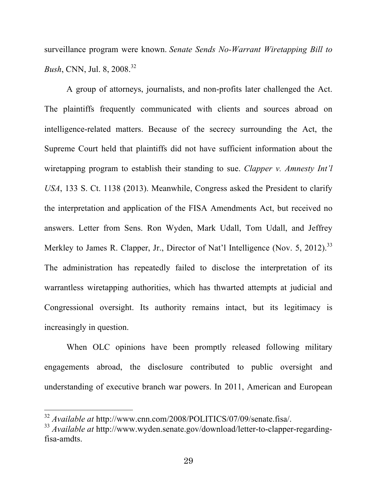surveillance program were known. *Senate Sends No-Warrant Wiretapping Bill to Bush*, CNN, Jul. 8, 2008. 32

A group of attorneys, journalists, and non-profits later challenged the Act. The plaintiffs frequently communicated with clients and sources abroad on intelligence-related matters. Because of the secrecy surrounding the Act, the Supreme Court held that plaintiffs did not have sufficient information about the wiretapping program to establish their standing to sue. *Clapper v. Amnesty Int'l USA*, 133 S. Ct. 1138 (2013). Meanwhile, Congress asked the President to clarify the interpretation and application of the FISA Amendments Act, but received no answers. Letter from Sens. Ron Wyden, Mark Udall, Tom Udall, and Jeffrey Merkley to James R. Clapper, Jr., Director of Nat'l Intelligence (Nov. 5, 2012).<sup>33</sup> The administration has repeatedly failed to disclose the interpretation of its warrantless wiretapping authorities, which has thwarted attempts at judicial and Congressional oversight. Its authority remains intact, but its legitimacy is increasingly in question.

When OLC opinions have been promptly released following military engagements abroad, the disclosure contributed to public oversight and understanding of executive branch war powers. In 2011, American and European

 <sup>32</sup> *Available at* http://www.cnn.com/2008/POLITICS/07/09/senate.fisa/.

<sup>33</sup> *Available at* http://www.wyden.senate.gov/download/letter-to-clapper-regardingfisa-amdts.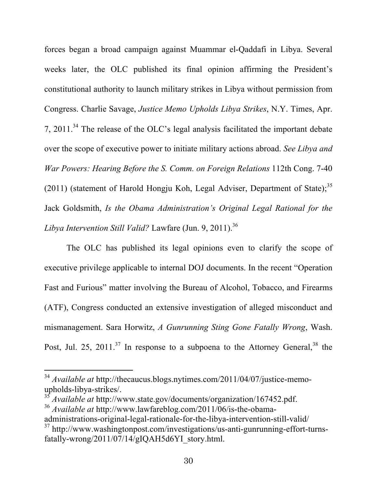forces began a broad campaign against Muammar el-Qaddafi in Libya. Several weeks later, the OLC published its final opinion affirming the President's constitutional authority to launch military strikes in Libya without permission from Congress. Charlie Savage, *Justice Memo Upholds Libya Strikes*, N.Y. Times, Apr. 7, 2011.<sup>34</sup> The release of the OLC's legal analysis facilitated the important debate over the scope of executive power to initiate military actions abroad. *See Libya and War Powers: Hearing Before the S. Comm. on Foreign Relations* 112th Cong. 7-40 (2011) (statement of Harold Hongju Koh, Legal Adviser, Department of State);<sup>35</sup> Jack Goldsmith, *Is the Obama Administration's Original Legal Rational for the Libya Intervention Still Valid?* Lawfare (Jun. 9, 2011). 36

The OLC has published its legal opinions even to clarify the scope of executive privilege applicable to internal DOJ documents. In the recent "Operation Fast and Furious" matter involving the Bureau of Alcohol, Tobacco, and Firearms (ATF), Congress conducted an extensive investigation of alleged misconduct and mismanagement. Sara Horwitz, *A Gunrunning Sting Gone Fatally Wrong*, Wash. Post, Jul. 25, 2011.<sup>37</sup> In response to a subpoena to the Attorney General,  $38$  the

 <sup>34</sup> *Available at* http://thecaucus.blogs.nytimes.com/2011/04/07/justice-memoupholds-libya-strikes/.

<sup>35</sup> *Available at* http://www.state.gov/documents/organization/167452.pdf.

<sup>36</sup> *Available at* http://www.lawfareblog.com/2011/06/is-the-obama-

administrations-original-legal-rationale-for-the-libya-intervention-still-valid/ 37 http://www.washingtonpost.com/investigations/us-anti-gunrunning-effort-turnsfatally-wrong/2011/07/14/gIQAH5d6YI\_story.html.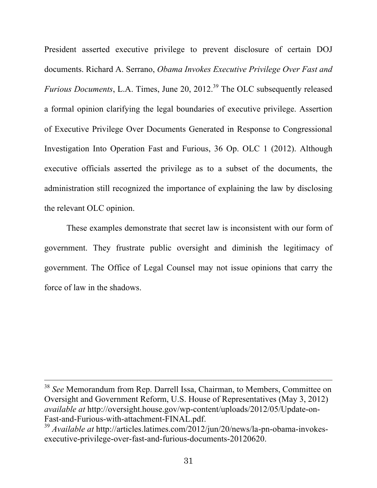President asserted executive privilege to prevent disclosure of certain DOJ documents. Richard A. Serrano, *Obama Invokes Executive Privilege Over Fast and Furious Documents*, L.A. Times, June 20, 2012.<sup>39</sup> The OLC subsequently released a formal opinion clarifying the legal boundaries of executive privilege. Assertion of Executive Privilege Over Documents Generated in Response to Congressional Investigation Into Operation Fast and Furious, 36 Op. OLC 1 (2012). Although executive officials asserted the privilege as to a subset of the documents, the administration still recognized the importance of explaining the law by disclosing the relevant OLC opinion.

These examples demonstrate that secret law is inconsistent with our form of government. They frustrate public oversight and diminish the legitimacy of government. The Office of Legal Counsel may not issue opinions that carry the force of law in the shadows.

 <sup>38</sup> *See* Memorandum from Rep. Darrell Issa, Chairman, to Members, Committee on Oversight and Government Reform, U.S. House of Representatives (May 3, 2012) *available at* http://oversight.house.gov/wp-content/uploads/2012/05/Update-on-Fast-and-Furious-with-attachment-FINAL.pdf.

<sup>39</sup> *Available at* http://articles.latimes.com/2012/jun/20/news/la-pn-obama-invokesexecutive-privilege-over-fast-and-furious-documents-20120620.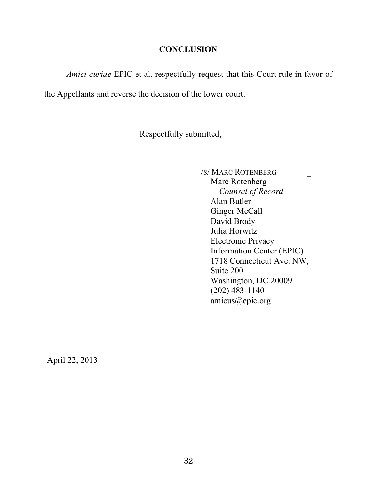# **CONCLUSION**

*Amici curiae* EPIC et al. respectfully request that this Court rule in favor of

the Appellants and reverse the decision of the lower court.

Respectfully submitted,

/S/ MARC ROTENBERG \_

Marc Rotenberg *Counsel of Record* Alan Butler Ginger McCall David Brody Julia Horwitz Electronic Privacy Information Center (EPIC) 1718 Connecticut Ave. NW, Suite 200 Washington, DC 20009 (202) 483-1140 amicus@epic.org

April 22, 2013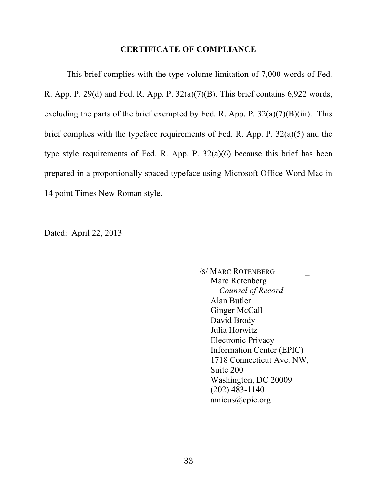#### **CERTIFICATE OF COMPLIANCE**

This brief complies with the type-volume limitation of 7,000 words of Fed. R. App. P. 29(d) and Fed. R. App. P. 32(a)(7)(B). This brief contains 6,922 words, excluding the parts of the brief exempted by Fed. R. App. P.  $32(a)(7)(B)(iii)$ . This brief complies with the typeface requirements of Fed. R. App. P. 32(a)(5) and the type style requirements of Fed. R. App. P. 32(a)(6) because this brief has been prepared in a proportionally spaced typeface using Microsoft Office Word Mac in 14 point Times New Roman style.

Dated: April 22, 2013

/S/ MARC ROTENBERG \_ Marc Rotenberg

 *Counsel of Record* Alan Butler Ginger McCall David Brody Julia Horwitz Electronic Privacy Information Center (EPIC) 1718 Connecticut Ave. NW, Suite 200 Washington, DC 20009 (202) 483-1140 amicus@epic.org